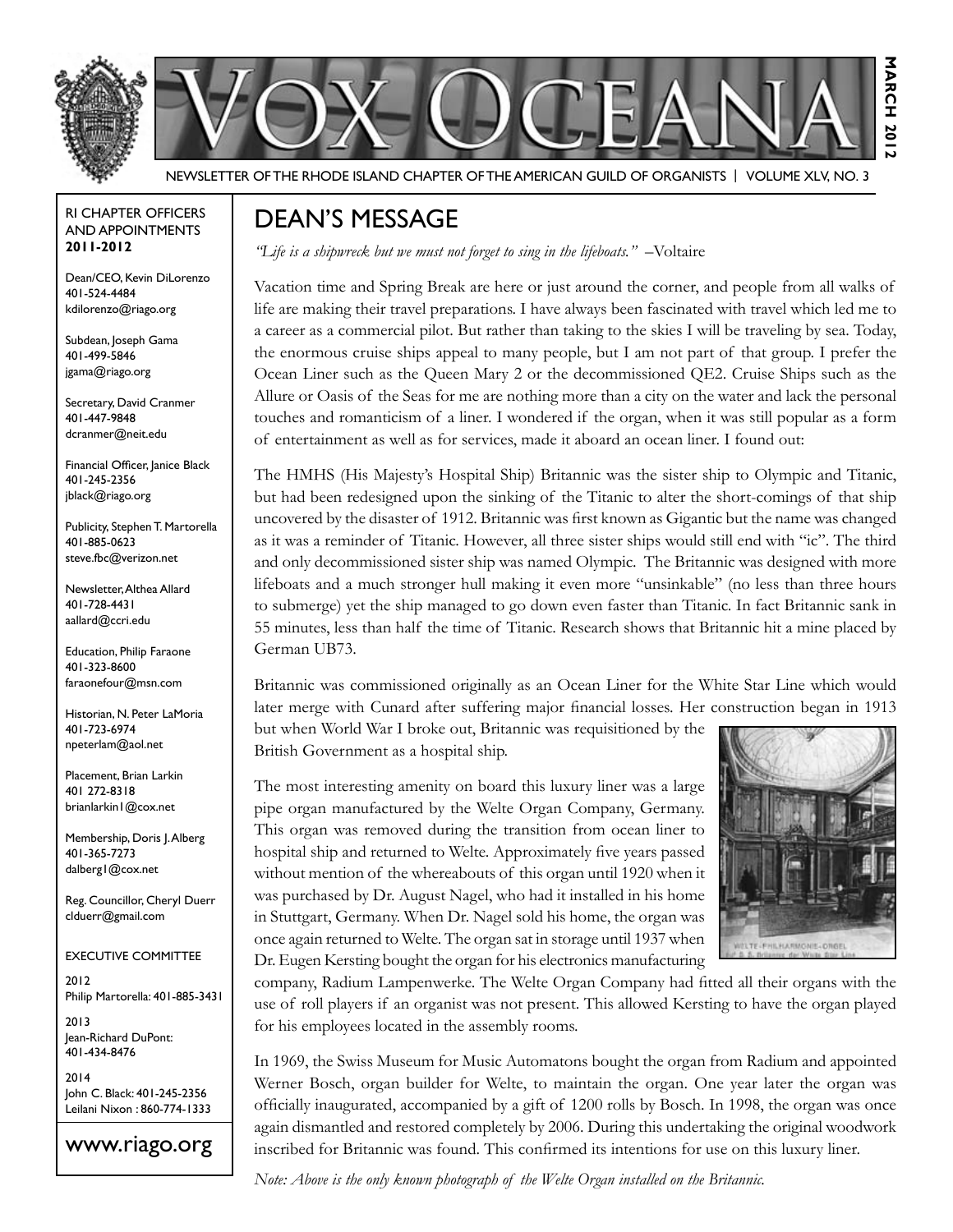



Newsletter of the Rhode Island Chapter of the American Guild of OrganistS | Volume XLV, No. 3

#### RI Chapter Officers and Appointments **2011-2012**

Dean/CEO, Kevin DiLorenzo 401-524-4484 kdilorenzo@riago.org

Subdean, Joseph Gama 401-499-5846 jgama@riago.org

Secretary, David Cranmer 401-447-9848 dcranmer@neit.edu

Financial Officer, Janice Black 401-245-2356 jblack@riago.org

Publicity, Stephen T. Martorella 401-885-0623 steve.fbc@verizon.net

Newsletter, Althea Allard 401-728-4431 aallard@ccri.edu

Education, Philip Faraone 401-323-8600 faraonefour@msn.com

Historian, N. Peter LaMoria 401-723-6974 npeterlam@aol.net

Placement, Brian Larkin 401 272-8318 brianlarkin1@cox.net

Membership, Doris J. Alberg 401-365-7273 dalberg1@cox.net

Reg. Councillor, Cheryl Duerr clduerr@gmail.com

### Executive Committee

2012 Philip Martorella: 401-885-3431

2013 Jean-Richard DuPont: 401-434-8476

2014 John C. Black: 401-245-2356 Leilani Nixon : 860-774-1333

www.riago.org

## Dean's Message

*"Life is a shipwreck but we must not forget to sing in the lifeboats."* –Voltaire

Vacation time and Spring Break are here or just around the corner, and people from all walks of life are making their travel preparations. I have always been fascinated with travel which led me to a career as a commercial pilot. But rather than taking to the skies I will be traveling by sea. Today, the enormous cruise ships appeal to many people, but I am not part of that group. I prefer the Ocean Liner such as the Queen Mary 2 or the decommissioned QE2. Cruise Ships such as the Allure or Oasis of the Seas for me are nothing more than a city on the water and lack the personal touches and romanticism of a liner. I wondered if the organ, when it was still popular as a form of entertainment as well as for services, made it aboard an ocean liner. I found out:

The HMHS (His Majesty's Hospital Ship) Britannic was the sister ship to Olympic and Titanic, but had been redesigned upon the sinking of the Titanic to alter the short-comings of that ship uncovered by the disaster of 1912. Britannic was first known as Gigantic but the name was changed as it was a reminder of Titanic. However, all three sister ships would still end with "ic". The third and only decommissioned sister ship was named Olympic. The Britannic was designed with more lifeboats and a much stronger hull making it even more "unsinkable" (no less than three hours to submerge) yet the ship managed to go down even faster than Titanic. In fact Britannic sank in 55 minutes, less than half the time of Titanic. Research shows that Britannic hit a mine placed by German UB73.

Britannic was commissioned originally as an Ocean Liner for the White Star Line which would later merge with Cunard after suffering major financial losses. Her construction began in 1913

but when World War I broke out, Britannic was requisitioned by the British Government as a hospital ship.

The most interesting amenity on board this luxury liner was a large pipe organ manufactured by the Welte Organ Company, Germany. This organ was removed during the transition from ocean liner to hospital ship and returned to Welte. Approximately five years passed without mention of the whereabouts of this organ until 1920 when it was purchased by Dr. August Nagel, who had it installed in his home in Stuttgart, Germany. When Dr. Nagel sold his home, the organ was once again returned to Welte. The organ sat in storage until 1937 when Dr. Eugen Kersting bought the organ for his electronics manufacturing



**March 2012**

 $-201$ 

MARCH

company, Radium Lampenwerke. The Welte Organ Company had fitted all their organs with the use of roll players if an organist was not present. This allowed Kersting to have the organ played for his employees located in the assembly rooms.

In 1969, the Swiss Museum for Music Automatons bought the organ from Radium and appointed Werner Bosch, organ builder for Welte, to maintain the organ. One year later the organ was officially inaugurated, accompanied by a gift of 1200 rolls by Bosch. In 1998, the organ was once again dismantled and restored completely by 2006. During this undertaking the original woodwork inscribed for Britannic was found. This confirmed its intentions for use on this luxury liner.

*Note: Above is the only known photograph of the Welte Organ installed on the Britannic.*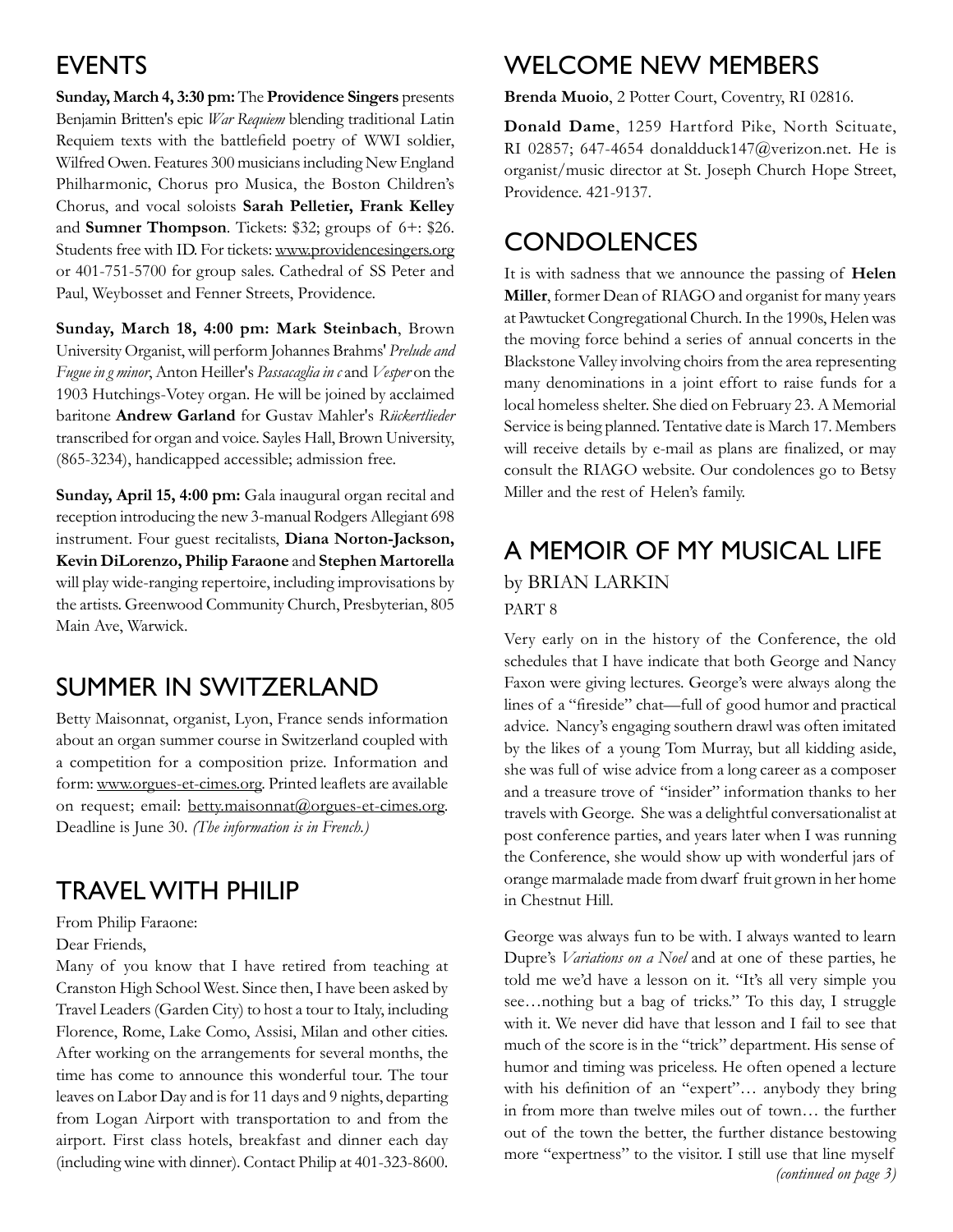## **EVENTS**

**Sunday, March 4, 3:30 pm:** The **Providence Singers** presents Benjamin Britten's epic *War Requiem* blending traditional Latin Requiem texts with the battlefield poetry of WWI soldier, Wilfred Owen. Features 300 musicians including New England Philharmonic, Chorus pro Musica, the Boston Children's Chorus, and vocal soloists **Sarah Pelletier, Frank Kelley** and **Sumner Thompson**. Tickets: \$32; groups of 6+: \$26. Students free with ID. For tickets: www.providencesingers.org or 401-751-5700 for group sales. Cathedral of SS Peter and Paul, Weybosset and Fenner Streets, Providence.

**Sunday, March 18, 4:00 pm: Mark Steinbach**, Brown University Organist, will perform Johannes Brahms' *Prelude and Fugue in g minor*, Anton Heiller's *Passacaglia in c* and *Vesper* on the 1903 Hutchings-Votey organ. He will be joined by acclaimed baritone **Andrew Garland** for Gustav Mahler's *Rückertlieder* transcribed for organ and voice. Sayles Hall, Brown University, (865-3234), handicapped accessible; admission free.

**Sunday, April 15, 4:00 pm:** Gala inaugural organ recital and reception introducing the new 3-manual Rodgers Allegiant 698 instrument. Four guest recitalists, **Diana Norton-Jackson, Kevin DiLorenzo, Philip Faraone** and **Stephen Martorella**  will play wide-ranging repertoire, including improvisations by the artists. Greenwood Community Church, Presbyterian, 805 Main Ave, Warwick.

# Summer in Switzerland

Betty Maisonnat, organist, Lyon, France sends information about an organ summer course in Switzerland coupled with a competition for a composition prize. Information and form: www.orgues-et-cimes.org. Printed leaflets are available on request; email: betty.maisonnat@orgues-et-cimes.org. Deadline is June 30. *(The information is in French.)*

## Travel with Philip

From Philip Faraone:

Dear Friends,

Many of you know that I have retired from teaching at Cranston High School West. Since then, I have been asked by Travel Leaders (Garden City) to host a tour to Italy, including Florence, Rome, Lake Como, Assisi, Milan and other cities. After working on the arrangements for several months, the time has come to announce this wonderful tour. The tour leaves on Labor Day and is for 11 days and 9 nights, departing from Logan Airport with transportation to and from the airport. First class hotels, breakfast and dinner each day (including wine with dinner). Contact Philip at 401-323-8600.

## Welcome New Members

**Brenda Muoio**, 2 Potter Court, Coventry, RI 02816.

**Donald Dame**, 1259 Hartford Pike, North Scituate, RI 02857; 647-4654 donaldduck147@verizon.net. He is organist/music director at St. Joseph Church Hope Street, Providence. 421-9137.

## **CONDOLENCES**

It is with sadness that we announce the passing of **Helen Miller**, former Dean of RIAGO and organist for many years at Pawtucket Congregational Church. In the 1990s, Helen was the moving force behind a series of annual concerts in the Blackstone Valley involving choirs from the area representing many denominations in a joint effort to raise funds for a local homeless shelter. She died on February 23. A Memorial Service is being planned. Tentative date is March 17. Members will receive details by e-mail as plans are finalized, or may consult the RIAGO website. Our condolences go to Betsy Miller and the rest of Helen's family.

## A Memoir of My Musical Life by Brian Larkin PART 8

Very early on in the history of the Conference, the old schedules that I have indicate that both George and Nancy Faxon were giving lectures. George's were always along the lines of a "fireside" chat—full of good humor and practical advice. Nancy's engaging southern drawl was often imitated by the likes of a young Tom Murray, but all kidding aside, she was full of wise advice from a long career as a composer and a treasure trove of "insider" information thanks to her travels with George. She was a delightful conversationalist at post conference parties, and years later when I was running the Conference, she would show up with wonderful jars of orange marmalade made from dwarf fruit grown in her home in Chestnut Hill.

George was always fun to be with. I always wanted to learn Dupre's *Variations on a Noel* and at one of these parties, he told me we'd have a lesson on it. "It's all very simple you see…nothing but a bag of tricks." To this day, I struggle with it. We never did have that lesson and I fail to see that much of the score is in the "trick" department. His sense of humor and timing was priceless. He often opened a lecture with his definition of an "expert"… anybody they bring in from more than twelve miles out of town… the further out of the town the better, the further distance bestowing more "expertness" to the visitor. I still use that line myself *(continued on page 3)*